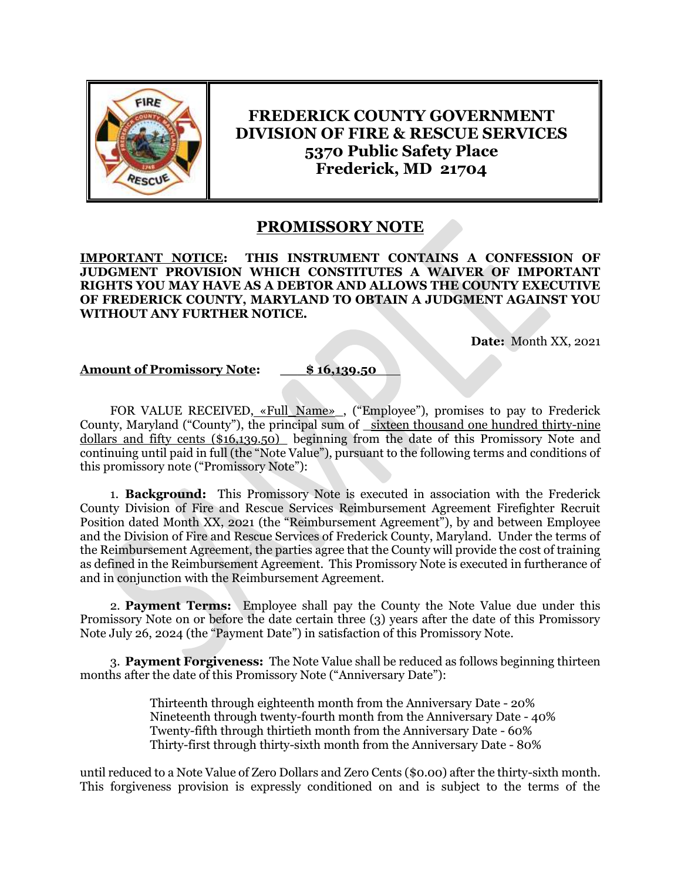

**FREDERICK COUNTY GOVERNMENT DIVISION OF FIRE & RESCUE SERVICES 5370 Public Safety Place Frederick, MD 21704**

## **PROMISSORY NOTE**

**IMPORTANT NOTICE: THIS INSTRUMENT CONTAINS A CONFESSION OF JUDGMENT PROVISION WHICH CONSTITUTES A WAIVER OF IMPORTANT RIGHTS YOU MAY HAVE AS A DEBTOR AND ALLOWS THE COUNTY EXECUTIVE OF FREDERICK COUNTY, MARYLAND TO OBTAIN A JUDGMENT AGAINST YOU WITHOUT ANY FURTHER NOTICE.**

**Date:** Month XX, 2021

## **Amount of Promissory Note: \_\_\_\$ 16,139.50**

FOR VALUE RECEIVED, «Full Name», ("Employee"), promises to pay to Frederick County, Maryland ("County"), the principal sum of \_sixteen thousand one hundred thirty-nine dollars and fifty cents (\$16,139.50) beginning from the date of this Promissory Note and continuing until paid in full (the "Note Value"), pursuant to the following terms and conditions of this promissory note ("Promissory Note"):

1. **Background:** This Promissory Note is executed in association with the Frederick County Division of Fire and Rescue Services Reimbursement Agreement Firefighter Recruit Position dated Month XX, 2021 (the "Reimbursement Agreement"), by and between Employee and the Division of Fire and Rescue Services of Frederick County, Maryland. Under the terms of the Reimbursement Agreement, the parties agree that the County will provide the cost of training as defined in the Reimbursement Agreement. This Promissory Note is executed in furtherance of and in conjunction with the Reimbursement Agreement.

2. **Payment Terms:** Employee shall pay the County the Note Value due under this Promissory Note on or before the date certain three (3) years after the date of this Promissory Note July 26, 2024 (the "Payment Date") in satisfaction of this Promissory Note.

3. **Payment Forgiveness:** The Note Value shall be reduced as follows beginning thirteen months after the date of this Promissory Note ("Anniversary Date"):

> Thirteenth through eighteenth month from the Anniversary Date - 20% Nineteenth through twenty-fourth month from the Anniversary Date - 40% Twenty-fifth through thirtieth month from the Anniversary Date - 60% Thirty-first through thirty-sixth month from the Anniversary Date - 80%

until reduced to a Note Value of Zero Dollars and Zero Cents (\$0.00) after the thirty-sixth month. This forgiveness provision is expressly conditioned on and is subject to the terms of the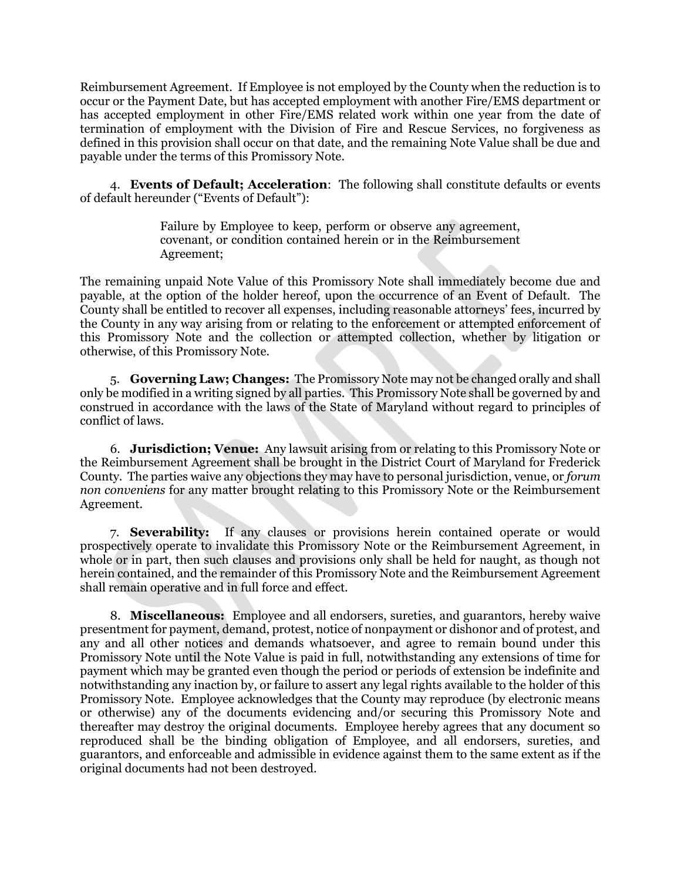Reimbursement Agreement. If Employee is not employed by the County when the reduction is to occur or the Payment Date, but has accepted employment with another Fire/EMS department or has accepted employment in other Fire/EMS related work within one year from the date of termination of employment with the Division of Fire and Rescue Services, no forgiveness as defined in this provision shall occur on that date, and the remaining Note Value shall be due and payable under the terms of this Promissory Note.

4. **Events of Default; Acceleration**: The following shall constitute defaults or events of default hereunder ("Events of Default"):

> Failure by Employee to keep, perform or observe any agreement, covenant, or condition contained herein or in the Reimbursement Agreement;

The remaining unpaid Note Value of this Promissory Note shall immediately become due and payable, at the option of the holder hereof, upon the occurrence of an Event of Default. The County shall be entitled to recover all expenses, including reasonable attorneys' fees, incurred by the County in any way arising from or relating to the enforcement or attempted enforcement of this Promissory Note and the collection or attempted collection, whether by litigation or otherwise, of this Promissory Note.

5. **Governing Law; Changes:** The Promissory Note may not be changed orally and shall only be modified in a writing signed by all parties. This Promissory Note shall be governed by and construed in accordance with the laws of the State of Maryland without regard to principles of conflict of laws.

6. **Jurisdiction; Venue:** Any lawsuit arising from or relating to this Promissory Note or the Reimbursement Agreement shall be brought in the District Court of Maryland for Frederick County. The parties waive any objections they may have to personal jurisdiction, venue, or *forum non conveniens* for any matter brought relating to this Promissory Note or the Reimbursement Agreement.

7. **Severability:** If any clauses or provisions herein contained operate or would prospectively operate to invalidate this Promissory Note or the Reimbursement Agreement, in whole or in part, then such clauses and provisions only shall be held for naught, as though not herein contained, and the remainder of this Promissory Note and the Reimbursement Agreement shall remain operative and in full force and effect.

8. **Miscellaneous:** Employee and all endorsers, sureties, and guarantors, hereby waive presentment for payment, demand, protest, notice of nonpayment or dishonor and of protest, and any and all other notices and demands whatsoever, and agree to remain bound under this Promissory Note until the Note Value is paid in full, notwithstanding any extensions of time for payment which may be granted even though the period or periods of extension be indefinite and notwithstanding any inaction by, or failure to assert any legal rights available to the holder of this Promissory Note. Employee acknowledges that the County may reproduce (by electronic means or otherwise) any of the documents evidencing and/or securing this Promissory Note and thereafter may destroy the original documents. Employee hereby agrees that any document so reproduced shall be the binding obligation of Employee, and all endorsers, sureties, and guarantors, and enforceable and admissible in evidence against them to the same extent as if the original documents had not been destroyed.